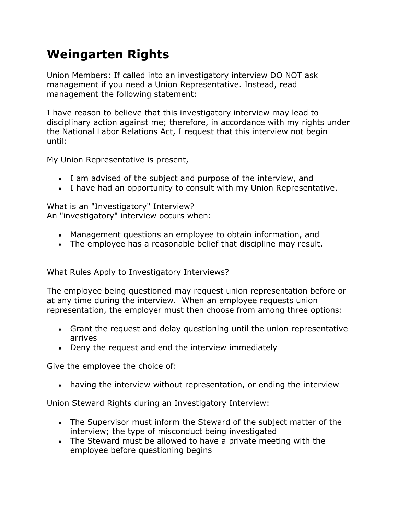## **Weingarten Rights**

Union Members: If called into an investigatory interview DO NOT ask management if you need a Union Representative. Instead, read management the following statement:

I have reason to believe that this investigatory interview may lead to disciplinary action against me; therefore, in accordance with my rights under the National Labor Relations Act, I request that this interview not begin until:

My Union Representative is present,

- I am advised of the subject and purpose of the interview, and
- I have had an opportunity to consult with my Union Representative.

What is an "Investigatory" Interview? An "investigatory" interview occurs when:

- Management questions an employee to obtain information, and
- The employee has a reasonable belief that discipline may result.

What Rules Apply to Investigatory Interviews?

The employee being questioned may request union representation before or at any time during the interview. When an employee requests union representation, the employer must then choose from among three options:

- Grant the request and delay questioning until the union representative arrives
- Deny the request and end the interview immediately

Give the employee the choice of:

having the interview without representation, or ending the interview

Union Steward Rights during an Investigatory Interview:

- The Supervisor must inform the Steward of the subject matter of the interview; the type of misconduct being investigated
- The Steward must be allowed to have a private meeting with the employee before questioning begins